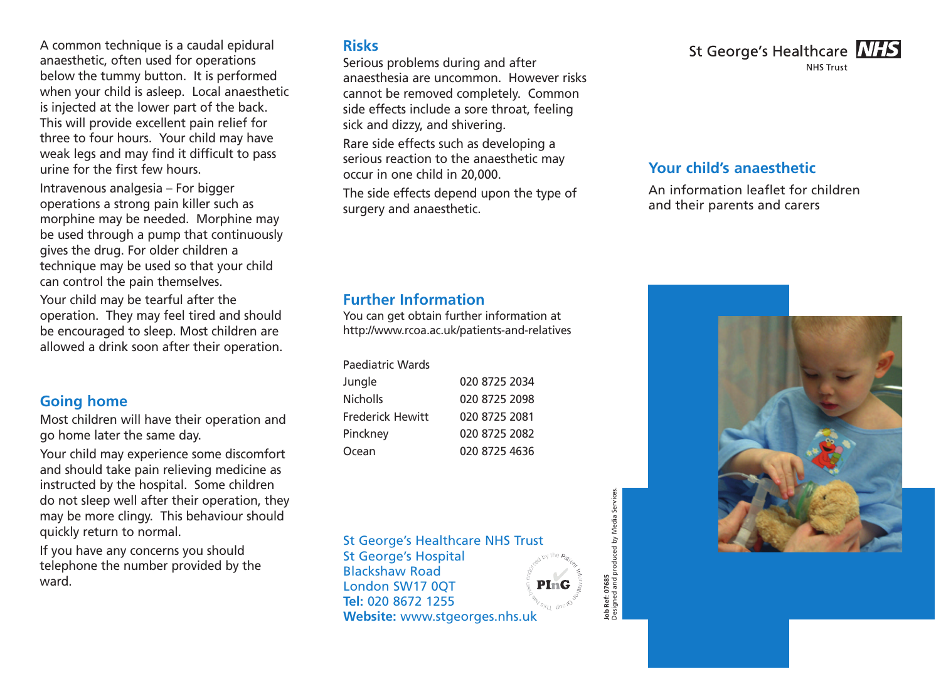A common technique is a caudal epidural anaesthetic, often used for operations below the tummy button. It is performed when your child is asleep. Local anaesthetic is injected at the lower part of the back. This will provide excellent pain relief for three to four hours. Your child may have weak legs and may find it difficult to pass urine for the first few hours.

Intravenous analgesia – For bigger operations a strong pain killer such as morphine may be needed. Morphine may be used through a pump that continuously gives the drug. For older children a technique may be used so that your child can control the pain themselves.

Your child may be tearful after the operation. They may feel tired and should be encouraged to sleep. Most children are allowed a drink soon after their operation.

#### **Going home**

Most children will have their operation and go home later the same day.

Your child may experience some discomfort and should take pain relieving medicine as instructed by the hospital. Some children do not sleep well after their operation, they may be more clingy. This behaviour should quickly return to normal.

If you have any concerns you should telephone the number provided by the ward.

#### **Risks**

Serious problems during and after anaesthesia are uncommon. However risks cannot be removed completely. Common side effects include a sore throat, feeling sick and dizzy, and shivering. Rare side effects such as developing a

serious reaction to the anaesthetic may occur in one child in 20,000.

The side effects depend upon the type of surgery and anaesthetic.

### **Further Information**

You can get obtain further information at http://www.rcoa.ac.uk/patients-and-relatives

| Paediatric Wards |               |
|------------------|---------------|
| Jungle           | 020 8725 2034 |
| <b>Nicholls</b>  | 020 8725 2098 |

Frederick Hewitt 020 8725 2081 Pinckney 020 8725 2082 Ocean 020 8725 4636

#### St George's Healthcare NHS Trust

St George's Hospital Blackshaw Road PInG London SW17 0QT **Tel:** 020 8672 1255 **Website:** www.stgeorges.nhs.uk

Designed and produced by Media Services. ob Ref: 07685<br>Designed and produced by Media Service: **Job Ref: 07685**

St George's Healthcare **NHS NHS Trust** 

### **Your child's anaesthetic**

An information leaflet for children and their parents and carers